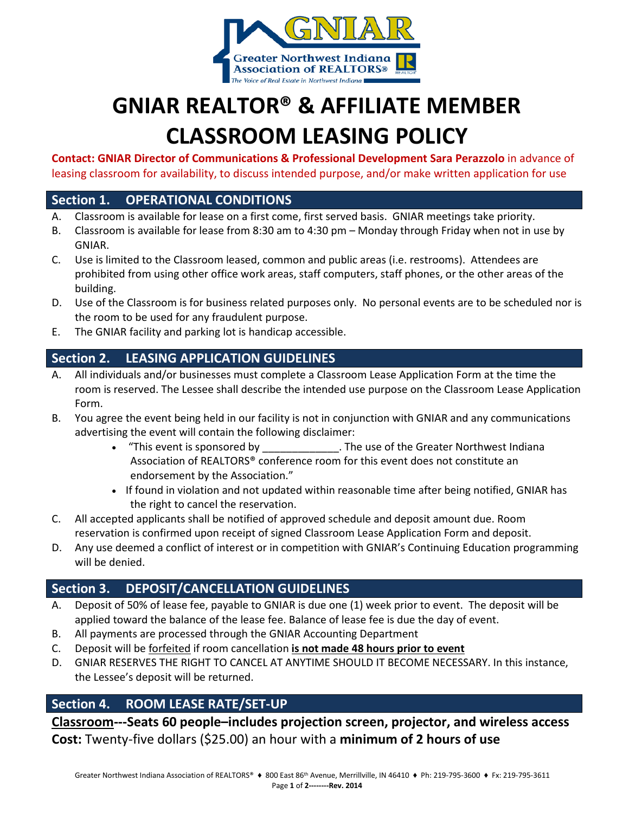

# **GNIAR REALTOR® & AFFILIATE MEMBER CLASSROOM LEASING POLICY**

**Contact: GNIAR Director of Communications & Professional Development Sara Perazzolo** in advance of leasing classroom for availability, to discuss intended purpose, and/or make written application for use

### **Section 1. OPERATIONAL CONDITIONS**

- A. Classroom is available for lease on a first come, first served basis. GNIAR meetings take priority.
- B. Classroom is available for lease from 8:30 am to 4:30 pm Monday through Friday when not in use by GNIAR.
- C. Use is limited to the Classroom leased, common and public areas (i.e. restrooms). Attendees are prohibited from using other office work areas, staff computers, staff phones, or the other areas of the building.
- D. Use of the Classroom is for business related purposes only. No personal events are to be scheduled nor is the room to be used for any fraudulent purpose.
- E. The GNIAR facility and parking lot is handicap accessible.

# **Section 2. LEASING APPLICATION GUIDELINES**

- A. All individuals and/or businesses must complete a Classroom Lease Application Form at the time the room is reserved. The Lessee shall describe the intended use purpose on the Classroom Lease Application Form.
- B. You agree the event being held in our facility is not in conjunction with GNIAR and any communications advertising the event will contain the following disclaimer:
	- "This event is sponsored by The use of the Greater Northwest Indiana Association of REALTORS® conference room for this event does not constitute an endorsement by the Association."
	- If found in violation and not updated within reasonable time after being notified, GNIAR has the right to cancel the reservation.
- C. All accepted applicants shall be notified of approved schedule and deposit amount due. Room reservation is confirmed upon receipt of signed Classroom Lease Application Form and deposit.
- D. Any use deemed a conflict of interest or in competition with GNIAR's Continuing Education programming will be denied.

## **Section 3. DEPOSIT/CANCELLATION GUIDELINES**

- A. Deposit of 50% of lease fee, payable to GNIAR is due one (1) week prior to event. The deposit will be applied toward the balance of the lease fee. Balance of lease fee is due the day of event.
- B. All payments are processed through the GNIAR Accounting Department
- C. Deposit will be forfeited if room cancellation **is not made 48 hours prior to event**
- D. GNIAR RESERVES THE RIGHT TO CANCEL AT ANYTIME SHOULD IT BECOME NECESSARY. In this instance, the Lessee's deposit will be returned.

### **Section 4. ROOM LEASE RATE/SET-UP**

**Classroom---Seats 60 people–includes projection screen, projector, and wireless access Cost:** Twenty-five dollars (\$25.00) an hour with a **minimum of 2 hours of use**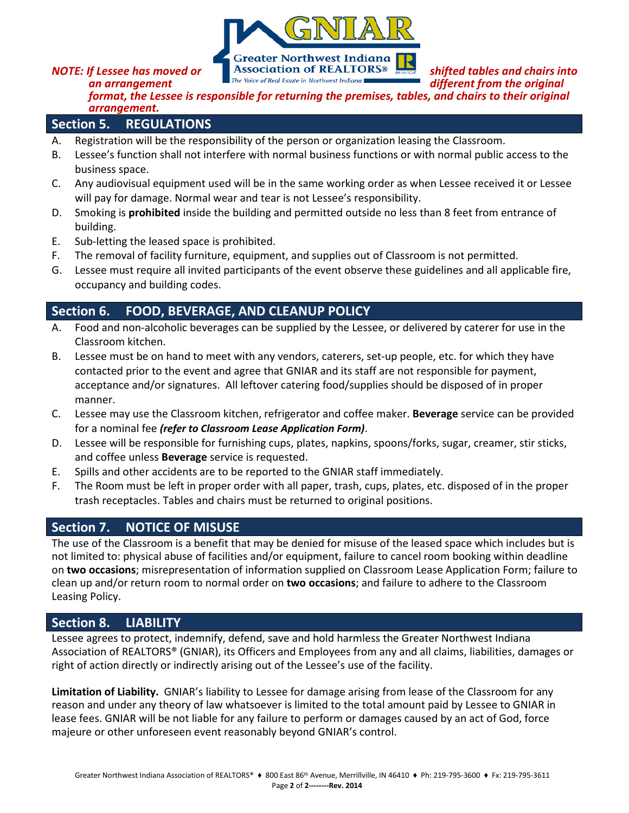

**NOTE:** If Lessee has moved or **Shifted tables and chairs into and all property**  $\frac{1}{2}$  **Shifted tables and chairs into**  $\frac{1}{2}$  *Inte Voice of Real Estate in Northwest Indiana* **different from the original** 

**an arrangement different from the original different from the original** 

*format, the Lessee is responsible for returning the premises, tables, and chairs to their original arrangement.*

#### **Section 5. REGULATIONS**

- A. Registration will be the responsibility of the person or organization leasing the Classroom.
- B. Lessee's function shall not interfere with normal business functions or with normal public access to the business space.
- C. Any audiovisual equipment used will be in the same working order as when Lessee received it or Lessee will pay for damage. Normal wear and tear is not Lessee's responsibility.
- D. Smoking is **prohibited** inside the building and permitted outside no less than 8 feet from entrance of building.
- E. Sub-letting the leased space is prohibited.
- F. The removal of facility furniture, equipment, and supplies out of Classroom is not permitted.
- G. Lessee must require all invited participants of the event observe these guidelines and all applicable fire, occupancy and building codes.

## **Section 6. FOOD, BEVERAGE, AND CLEANUP POLICY**

- A. Food and non-alcoholic beverages can be supplied by the Lessee, or delivered by caterer for use in the Classroom kitchen.
- B. Lessee must be on hand to meet with any vendors, caterers, set-up people, etc. for which they have contacted prior to the event and agree that GNIAR and its staff are not responsible for payment, acceptance and/or signatures. All leftover catering food/supplies should be disposed of in proper manner.
- C. Lessee may use the Classroom kitchen, refrigerator and coffee maker. **Beverage** service can be provided for a nominal fee *(refer to Classroom Lease Application Form)*.
- D. Lessee will be responsible for furnishing cups, plates, napkins, spoons/forks, sugar, creamer, stir sticks, and coffee unless **Beverage** service is requested.
- E. Spills and other accidents are to be reported to the GNIAR staff immediately.
- F. The Room must be left in proper order with all paper, trash, cups, plates, etc. disposed of in the proper trash receptacles. Tables and chairs must be returned to original positions.

## **Section 7. NOTICE OF MISUSE**

The use of the Classroom is a benefit that may be denied for misuse of the leased space which includes but is not limited to: physical abuse of facilities and/or equipment, failure to cancel room booking within deadline on **two occasions**; misrepresentation of information supplied on Classroom Lease Application Form; failure to clean up and/or return room to normal order on **two occasions**; and failure to adhere to the Classroom Leasing Policy.

#### **Section 8. LIABILITY**

Lessee agrees to protect, indemnify, defend, save and hold harmless the Greater Northwest Indiana Association of REALTORS® (GNIAR), its Officers and Employees from any and all claims, liabilities, damages or right of action directly or indirectly arising out of the Lessee's use of the facility.

**Limitation of Liability.** GNIAR's liability to Lessee for damage arising from lease of the Classroom for any reason and under any theory of law whatsoever is limited to the total amount paid by Lessee to GNIAR in lease fees. GNIAR will be not liable for any failure to perform or damages caused by an act of God, force majeure or other unforeseen event reasonably beyond GNIAR's control.